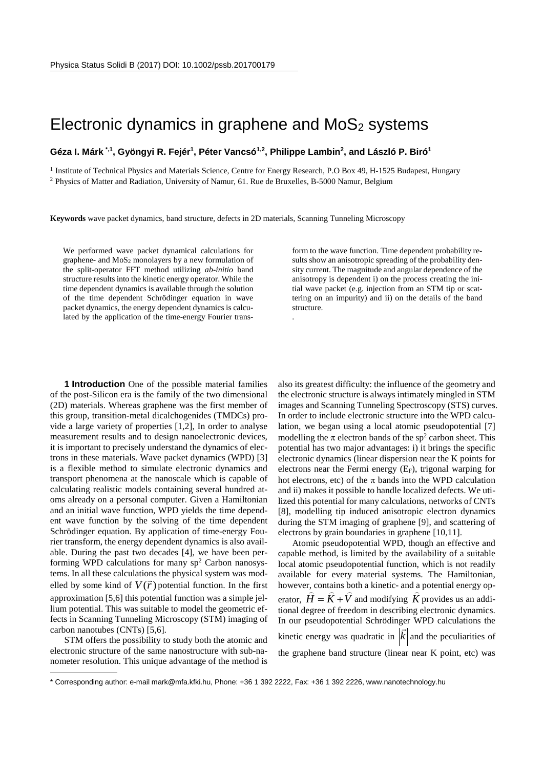## Electronic dynamics in graphene and  $MoS<sub>2</sub>$  systems

## **Géza I. Márk [\\*](#page-0-0),1, Gyöngyi R. Fejér1, Péter Vancsó1,2, Philippe Lambin2, and László P. Biró1**

<sup>1</sup> Institute of Technical Physics and Materials Science, Centre for Energy Research, P.O Box 49, H-1525 Budapest, Hungary <sup>2</sup> Physics of Matter and Radiation, University of Namur, 61. Rue de Bruxelles, B-5000 Namur, Belgium

**Keywords** wave packet dynamics, band structure, defects in 2D materials, Scanning Tunneling Microscopy

We performed wave packet dynamical calculations for graphene- and MoS2 monolayers by a new formulation of the split-operator FFT method utilizing *ab-initio* band structure results into the kinetic energy operator. While the time dependent dynamics is available through the solution of the time dependent Schrödinger equation in wave packet dynamics, the energy dependent dynamics is calculated by the application of the time-energy Fourier transform to the wave function. Time dependent probability results show an anisotropic spreading of the probability density current. The magnitude and angular dependence of the anisotropy is dependent i) on the process creating the initial wave packet (e.g. injection from an STM tip or scattering on an impurity) and ii) on the details of the band structure. .

**1 Introduction** One of the possible material families of the post-Silicon era is the family of the two dimensional (2D) materials. Whereas graphene was the first member of this group, transition-metal dicalchogenides (TMDCs) provide a large variety of properties [1,2], In order to analyse measurement results and to design nanoelectronic devices, it is important to precisely understand the dynamics of electrons in these materials. Wave packet dynamics (WPD) [3] is a flexible method to simulate electronic dynamics and transport phenomena at the nanoscale which is capable of calculating realistic models containing several hundred atoms already on a personal computer. Given a Hamiltonian and an initial wave function, WPD yields the time dependent wave function by the solving of the time dependent Schrödinger equation. By application of time-energy Fourier transform, the energy dependent dynamics is also available. During the past two decades [4], we have been performing WPD calculations for many  $sp<sup>2</sup>$  Carbon nanosystems. In all these calculations the physical system was modtems. In all these calculations the physical system was modelled by some kind of  $V(\vec{r})$  potential function. In the first approximation [5,6] this potential function was a simple jellium potential. This was suitable to model the geometric effects in Scanning Tunneling Microscopy (STM) imaging of carbon nanotubes (CNTs) [5,6].

STM offers the possibility to study both the atomic and electronic structure of the same nanostructure with sub-nanometer resolution. This unique advantage of the method is

-

also its greatest difficulty: the influence of the geometry and the electronic structure is always intimately mingled in STM images and Scanning Tunneling Spectroscopy (STS) curves. In order to include electronic structure into the WPD calculation, we began using a local atomic pseudopotential [7] modelling the  $\pi$  electron bands of the sp<sup>2</sup> carbon sheet. This potential has two major advantages: i) it brings the specific electronic dynamics (linear dispersion near the K points for electrons near the Fermi energy  $(E_F)$ , trigonal warping for hot electrons, etc) of the  $\pi$  bands into the WPD calculation and ii) makes it possible to handle localized defects. We utilized this potential for many calculations, networks of CNTs [8], modelling tip induced anisotropic electron dynamics during the STM imaging of graphene [9], and scattering of electrons by grain boundaries in graphene [10,11].

Atomic pseudopotential WPD, though an effective and capable method, is limited by the availability of a suitable local atomic pseudopotential function, which is not readily available for every material systems. The Hamiltonian, however, contains both a kinetic- and a potential energy ophowever, contains bout a kinetic- and a potential energy op-<br>erator,  $\hat{H} = \hat{K} + \hat{V}$  and modifying  $\hat{K}$  provides us an additional degree of freedom in describing electronic dynamics. In our pseudopotential Schrödinger WPD calculations the kinetic energy was quadratic in  $|k|$  and the peculiarities of the graphene band structure (linear near K point, etc) was

<span id="page-0-0"></span><sup>\*</sup> Corresponding author: e-mail mark@mfa.kfki.hu, Phone: +36 1 392 2222, Fax: +36 1 392 2226, www.nanotechnology.hu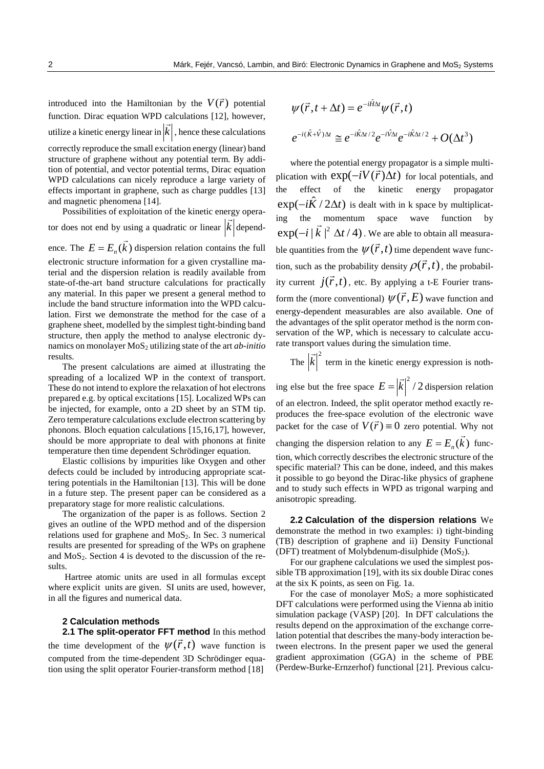introduced into the Hamiltonian by the  $V(\vec{r})$  potential function. Dirac equation WPD calculations [12], however, utilize a kinetic energy linear in *k*  $\frac{1}{2}$ , hence these calculations correctly reproduce the small excitation energy (linear) band structure of graphene without any potential term. By addition of potential, and vector potential terms, Dirac equation WPD calculations can nicely reproduce a large variety of effects important in graphene, such as charge puddles [13] and magnetic phenomena [14].

Possibilities of exploitation of the kinetic energy operator does not end by using a quadratic or linear *k*  $\frac{1}{x}$ dependence. The  $E = E_n(\vec{k})$  dispersion relation contains the full electronic structure information for a given crystalline material and the dispersion relation is readily available from state-of-the-art band structure calculations for practically any material. In this paper we present a general method to include the band structure information into the WPD calculation. First we demonstrate the method for the case of a graphene sheet, modelled by the simplest tight-binding band structure, then apply the method to analyse electronic dynamics on monolayer MoS<sub>2</sub> utilizing state of the art *ab-initio* results.

The present calculations are aimed at illustrating the spreading of a localized WP in the context of transport. These do not intend to explore the relaxation of hot electrons prepared e.g. by optical excitations [15]. Localized WPs can be injected, for example, onto a 2D sheet by an STM tip. Zero temperature calculations exclude electron scattering by phonons. Bloch equation calculations [15,16,17], however, should be more appropriate to deal with phonons at finite temperature then time dependent Schrödinger equation.

Elastic collisions by impurities like Oxygen and other defects could be included by introducing appropriate scattering potentials in the Hamiltonian [13]. This will be done in a future step. The present paper can be considered as a preparatory stage for more realistic calculations.

The organization of the paper is as follows. Section 2 gives an outline of the WPD method and of the dispersion relations used for graphene and MoS2. In Sec. 3 numerical results are presented for spreading of the WPs on graphene and  $MoS<sub>2</sub>$ . Section 4 is devoted to the discussion of the results.

Hartree atomic units are used in all formulas except where explicit units are given. SI units are used, however, in all the figures and numerical data.

## **2 Calculation methods**

**2.1 The split-operator FFT method** In this method the time development of the  $\psi(\vec{r},t)$  wave function is computed from the time-dependent 3D Schrödinger equation using the split operator Fourier-transform method [18]

$$
\psi(\vec{r}, t + \Delta t) = e^{-i\hat{H}\Delta t} \psi(\vec{r}, t)
$$

$$
e^{-i(\hat{K} + \hat{V})\Delta t} \approx e^{-i\hat{K}\Delta t/2} e^{-i\hat{V}\Delta t} e^{-i\hat{K}\Delta t/2} + O(\Delta t^3)
$$

where the potential energy propagator is a simple multiplication with  $exp(-iV(\vec{r})\Delta t)$  for local potentials, and the effect of the kinetic energy propagator  $\exp(-i\ddot{K}/2\Delta t)$  is dealt with in k space by multiplicating the momentum space wave function by  $\exp(-i |\vec{k}|^2 \Delta t / 4)$ . We are able to obtain all measurable quantities from the  $\psi(\vec{r},t)$  time dependent wave function, such as the probability density  $\rho(\vec{r},t)$ , the probability current  $j(\vec{r},t)$ , etc. By applying a t-E Fourier transform the (more conventional)  $\psi(\vec{r}, E)$  wave function and energy-dependent measurables are also available. One of the advantages of the split operator method is the norm conservation of the WP, which is necessary to calculate accurate transport values during the simulation time.

The  $|\vec{k}|^2$  $\vdots$ term in the kinetic energy expression is noth-

ing else but the free space  $E = |\vec{k}|^2 / 2$  dispersion relation of an electron. Indeed, the split operator method exactly reproduces the free-space evolution of the electronic wave packet for the case of  $V(\vec{r}) \equiv 0$  zero potential. Why not changing the dispersion relation to any  $E = E_n(\vec{k})$  function, which correctly describes the electronic structure of the specific material? This can be done, indeed, and this makes it possible to go beyond the Dirac-like physics of graphene and to study such effects in WPD as trigonal warping and anisotropic spreading.

**2.2 Calculation of the dispersion relations** We demonstrate the method in two examples: i) tight-binding (TB) description of graphene and ii) Density Functional (DFT) treatment of Molybdenum-disulphide  $(MoS<sub>2</sub>)$ .

For our graphene calculations we used the simplest possible TB approximation [19], with its six double Dirac cones at the six K points, as seen on Fig. 1a.

For the case of monolayer  $MoS<sub>2</sub>$  a more sophisticated DFT calculations were performed using the Vienna ab initio simulation package (VASP) [20]. In DFT calculations the results depend on the approximation of the exchange correlation potential that describes the many-body interaction between electrons. In the present paper we used the general gradient approximation (GGA) in the scheme of PBE (Perdew-Burke-Ernzerhof) functional [21]. Previous calcu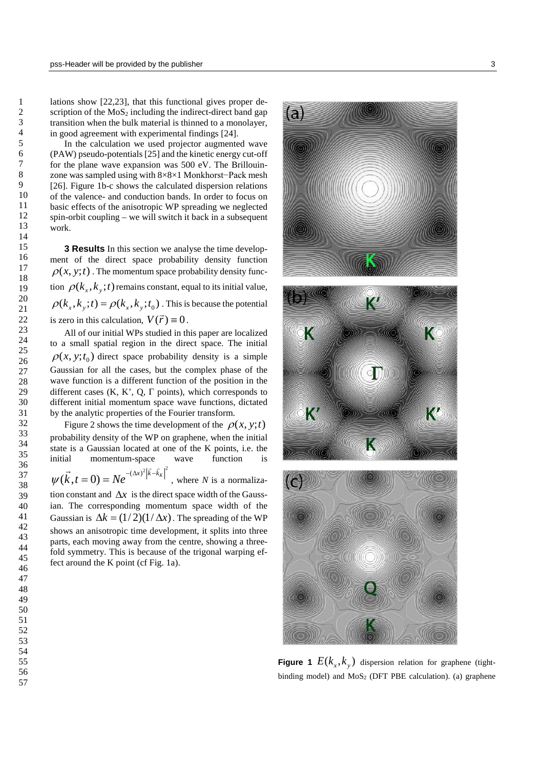lations show [22,23], that this functional gives proper description of the  $MoS<sub>2</sub>$  including the indirect-direct band gap transition when the bulk material is thinned to a monolayer, in good agreement with experimental findings [24].

In the calculation we used projector augmented wave (PAW) pseudo-potentials [25] and the kinetic energy cut-off for the plane wave expansion was 500 eV. The Brillouinzone was sampled using with 8×8×1 Monkhorst−Pack mesh [26]. Figure 1b-c shows the calculated dispersion relations of the valence- and conduction bands. In order to focus on basic effects of the anisotropic WP spreading we neglected spin-orbit coupling – we will switch it back in a subsequent work.

**3 Results** In this section we analyse the time development of the direct space probability density function  $\rho(x, y; t)$ . The momentum space probability density function  $\rho(k_x, k_y; t)$  remains constant, equal to its initial value,  $\rho(k_x, k_y; t) = \rho(k_x, k_y; t_0)$ . This is because the potential is zero in this calculation,  $V(\vec{r}) \equiv 0$ .

All of our initial WPs studied in this paper are localized to a small spatial region in the direct space. The initial  $\rho(x, y; t_0)$  direct space probability density is a simple Gaussian for all the cases, but the complex phase of the wave function is a different function of the position in the different cases  $(K, K', Q, \Gamma)$  points), which corresponds to different initial momentum space wave functions, dictated by the analytic properties of the Fourier transform.

Figure 2 shows the time development of the  $\rho(x, y; t)$ probability density of the WP on graphene, when the initial state is a Gaussian located at one of the K points, i.e. the initial momentum-space wave function is  $(\vec{k}, t = 0) = Ne^{-(\Delta x)^2 |\vec{k} - \vec{k}_k|^2}$  $\vec{r}$  -  $(\Delta x)^2 |\vec{k} - \vec{k}|$  $\psi(k,t=0) = Ne^{-\alpha k / |\kappa - \kappa k|}$ , where *N* is a normalization constant and  $\Delta x$  is the direct space width of the Gaussian. The corresponding momentum space width of the Gaussian is  $\Delta k = (1/2)(1/\Delta x)$ . The spreading of the WP shows an anisotropic time development, it splits into three parts, each moving away from the centre, showing a threefold symmetry. This is because of the trigonal warping ef-

fect around the K point (cf Fig. 1a).

 $\mathsf{a}$ 





**Figure 1**  $E(k_x, k_y)$  dispersion relation for graphene (tightbinding model) and MoS<sub>2</sub> (DFT PBE calculation). (a) graphene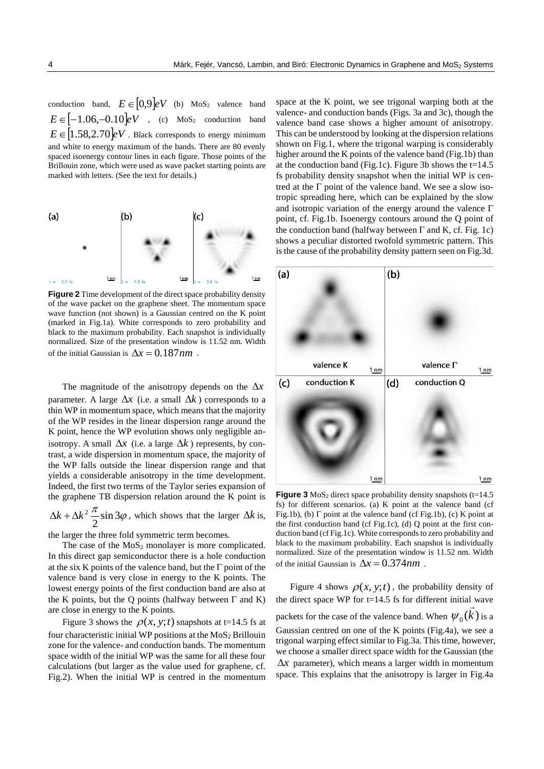conduction band,  $E \in [0,9]eV$  (b) MoS<sub>2</sub> valence band  $E \in [-1.06, -0.10]eV$  , (c) MoS<sub>2</sub> conduction band  $E \in [1.58, 2.70]$ *eV*. Black corresponds to energy minimum and white to energy maximum of the bands. There are 80 evenly spaced isoenergy contour lines in each figure. Those points of the Brillouin zone, which were used as wave packet starting points are marked with letters. (See the text for details.)



**Figure 2** Time development of the direct space probability density of the wave packet on the graphene sheet. The momentum space wave function (not shown) is a Gaussian centred on the K point (marked in Fig.1a). White corresponds to zero probability and black to the maximum probability. Each snapshot is individually normalized. Size of the presentation window is 11.52 nm. Width of the initial Gaussian is  $\Delta x = 0.187$ *nm*.

The magnitude of the anisotropy depends on the ∆*x* parameter. A large  $\Delta x$  (i.e. a small  $\Delta k$ ) corresponds to a thin WP in momentum space, which means that the majority of the WP resides in the linear dispersion range around the K point, hence the WP evolution shows only negligible anisotropy. A small  $\Delta x$  (i.e. a large  $\Delta k$ ) represents, by contrast, a wide dispersion in momentum space, the majority of the WP falls outside the linear dispersion range and that yields a considerable anisotropy in the time development. Indeed, the first two terms of the Taylor series expansion of the graphene TB dispersion relation around the K point is

 $\frac{\pi}{2}$ sin 3 $\varphi$ 2  $\Delta k + \Delta k^2 \frac{\lambda}{2} \sin 3\varphi$ , which shows that the larger  $\Delta k$  is,

the larger the three fold symmetric term becomes.

The case of the  $MoS<sub>2</sub>$  monolayer is more complicated. In this direct gap semiconductor there is a hole conduction at the six K points of the valence band, but the  $\Gamma$  point of the valence band is very close in energy to the K points. The lowest energy points of the first conduction band are also at the K points, but the Q points (halfway between  $\Gamma$  and K) are close in energy to the K points.

Figure 3 shows the  $\rho(x, y; t)$  snapshots at t=14.5 fs at four characteristic initial WP positions at the  $MoS<sub>2</sub>$  Brillouin zone for the valence- and conduction bands. The momentum space width of the initial WP was the same for all these four calculations (but larger as the value used for graphene, cf. Fig.2). When the initial WP is centred in the momentum space at the K point, we see trigonal warping both at the valence- and conduction bands (Figs. 3a and 3c), though the valence band case shows a higher amount of anisotropy. This can be understood by looking at the dispersion relations shown on Fig.1, where the trigonal warping is considerably higher around the K points of the valence band (Fig.1b) than at the conduction band (Fig.1c). Figure 3b shows the  $t=14.5$ fs probability density snapshot when the initial WP is centred at the  $\Gamma$  point of the valence band. We see a slow isotropic spreading here, which can be explained by the slow and isotropic variation of the energy around the valence Γ point, cf. Fig.1b. Isoenergy contours around the Q point of the conduction band (halfway between  $\Gamma$  and K, cf. Fig. 1c) shows a peculiar distorted twofold symmetric pattern. This is the cause of the probability density pattern seen on Fig.3d.



**Figure 3** MoS<sub>2</sub> direct space probability density snapshots (t=14.5) fs) for different scenarios. (a) K point at the valence band (cf Fig.1b), (b)  $\Gamma$  point at the valence band (cf Fig.1b), (c) K point at the first conduction band (cf Fig.1c), (d) Q point at the first conduction band (cf Fig.1c). White corresponds to zero probability and black to the maximum probability. Each snapshot is individually normalized. Size of the presentation window is 11.52 nm. Width of the initial Gaussian is  $\Delta x = 0.374$ *nm*.

Figure 4 shows  $\rho(x, y; t)$ , the probability density of the direct space WP for t=14.5 fs for different initial wave packets for the case of the valence band. When  $\psi_0(k)$  is a Gaussian centred on one of the K points (Fig.4a), we see a trigonal warping effect similar to Fig.3a. This time, however, we choose a smaller direct space width for the Gaussian (the ∆*x* parameter), which means a larger width in momentum space. This explains that the anisotropy is larger in Fig.4a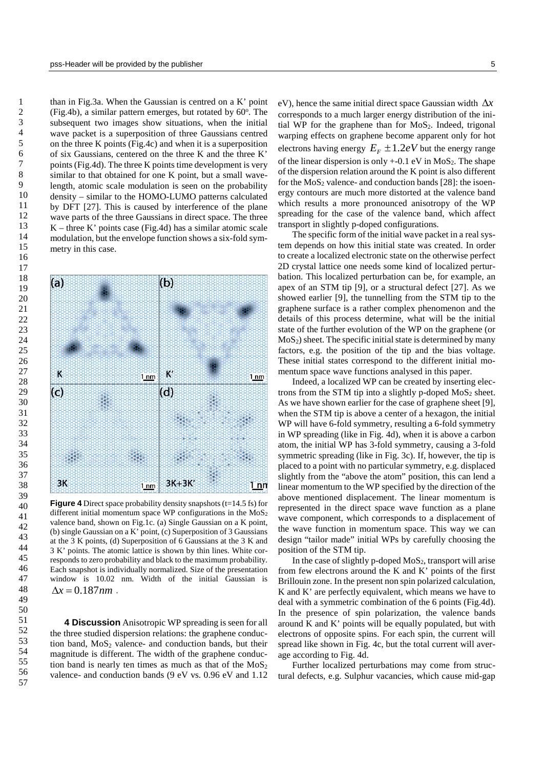than in Fig.3a. When the Gaussian is centred on a K' point (Fig.4b), a similar pattern emerges, but rotated by 60°. The subsequent two images show situations, when the initial wave packet is a superposition of three Gaussians centred on the three K points (Fig.4c) and when it is a superposition of six Gaussians, centered on the three K and the three K' points(Fig.4d). The three K points time development is very similar to that obtained for one K point, but a small wavelength, atomic scale modulation is seen on the probability density – similar to the HOMO-LUMO patterns calculated by DFT [27]. This is caused by interference of the plane wave parts of the three Gaussians in direct space. The three  $K$  – three K' points case (Fig.4d) has a similar atomic scale modulation, but the envelope function shows a six-fold symmetry in this case.



**Figure 4** Direct space probability density snapshots (t=14.5 fs) for different initial momentum space WP configurations in the MoS<sub>2</sub> valence band, shown on Fig.1c. (a) Single Gaussian on a K point, (b) single Gaussian on a K' point, (c) Superposition of 3 Gaussians at the 3 K points, (d) Superposition of 6 Gaussians at the 3 K and 3 K' points. The atomic lattice is shown by thin lines. White corresponds to zero probability and black to the maximum probability. Each snapshot is individually normalized. Size of the presentation window is 10.02 nm. Width of the initial Gaussian is  $\Delta x = 0.187$ *nm*.

**4 Discussion** Anisotropic WP spreading is seen for all the three studied dispersion relations: the graphene conduction band, MoS<sub>2</sub> valence- and conduction bands, but their magnitude is different. The width of the graphene conduction band is nearly ten times as much as that of the  $MoS<sub>2</sub>$ valence- and conduction bands (9 eV vs. 0.96 eV and 1.12 eV), hence the same initial direct space Gaussian width ∆*x* corresponds to a much larger energy distribution of the initial WP for the graphene than for  $MoS<sub>2</sub>$ . Indeed, trigonal warping effects on graphene become apparent only for hot electrons having energy  $E_F \pm 1.2eV$  but the energy range of the linear dispersion is only  $+$ -0.1 eV in MoS<sub>2</sub>. The shape of the dispersion relation around the K point is also different for the  $MoS<sub>2</sub>$  valence- and conduction bands [28]: the isoenergy contours are much more distorted at the valence band which results a more pronounced anisotropy of the WP spreading for the case of the valence band, which affect transport in slightly p-doped configurations.

The specific form of the initial wave packet in a real system depends on how this initial state was created. In order to create a localized electronic state on the otherwise perfect 2D crystal lattice one needs some kind of localized perturbation. This localized perturbation can be, for example, an apex of an STM tip [9], or a structural defect [27]. As we showed earlier [9], the tunnelling from the STM tip to the graphene surface is a rather complex phenomenon and the details of this process determine, what will be the initial state of the further evolution of the WP on the graphene (or  $MoS<sub>2</sub>$ ) sheet. The specific initial state is determined by many factors, e.g. the position of the tip and the bias voltage. These initial states correspond to the different initial momentum space wave functions analysed in this paper.

Indeed, a localized WP can be created by inserting electrons from the STM tip into a slightly p-doped  $MoS<sub>2</sub>$  sheet. As we have shown earlier for the case of graphene sheet [9], when the STM tip is above a center of a hexagon, the initial WP will have 6-fold symmetry, resulting a 6-fold symmetry in WP spreading (like in Fig. 4d), when it is above a carbon atom, the initial WP has 3-fold symmetry, causing a 3-fold symmetric spreading (like in Fig. 3c). If, however, the tip is placed to a point with no particular symmetry, e.g. displaced slightly from the "above the atom" position, this can lend a linear momentum to the WP specified by the direction of the above mentioned displacement. The linear momentum is represented in the direct space wave function as a plane wave component, which corresponds to a displacement of the wave function in momentum space. This way we can design "tailor made" initial WPs by carefully choosing the position of the STM tip.

In the case of slightly p-doped  $MoS<sub>2</sub>$ , transport will arise from few electrons around the K and K' points of the first Brillouin zone. In the present non spin polarized calculation, K and K' are perfectly equivalent, which means we have to deal with a symmetric combination of the 6 points (Fig.4d). In the presence of spin polarization, the valence bands around K and K' points will be equally populated, but with electrons of opposite spins. For each spin, the current will spread like shown in Fig. 4c, but the total current will average according to Fig. 4d.

Further localized perturbations may come from structural defects, e.g. Sulphur vacancies, which cause mid-gap